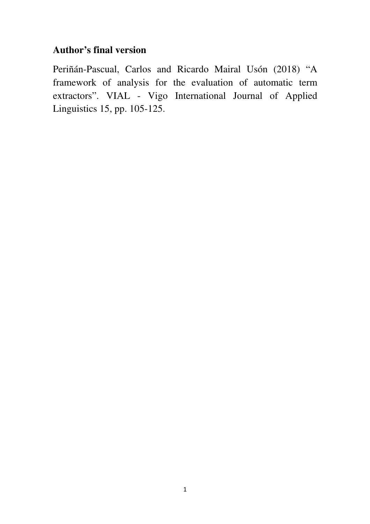# **Author's final version**

Periñán-Pascual, Carlos and Ricardo Mairal Usón (2018) "A framework of analysis for the evaluation of automatic term extractors". VIAL - Vigo International Journal of Applied Linguistics 15, pp. 105-125.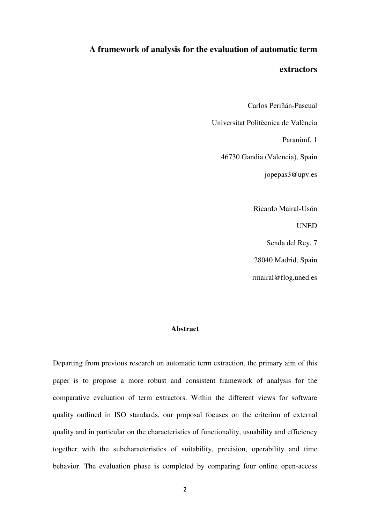# **A framework of analysis for the evaluation of automatic term**

#### **extractors**

Carlos Periñán-Pascual

Universitat Politècnica de València

Paranimf, 1

46730 Gandia (Valencia), Spain

jopepas3@upv.es

Ricardo Mairal-Usón

UNED

Senda del Rey, 7

28040 Madrid, Spain

rmairal@flog.uned.es

### **Abstract**

Departing from previous research on automatic term extraction, the primary aim of this paper is to propose a more robust and consistent framework of analysis for the comparative evaluation of term extractors. Within the different views for software quality outlined in ISO standards, our proposal focuses on the criterion of external quality and in particular on the characteristics of functionality, usuability and efficiency together with the subcharacteristics of suitability, precision, operability and time behavior. The evaluation phase is completed by comparing four online open-access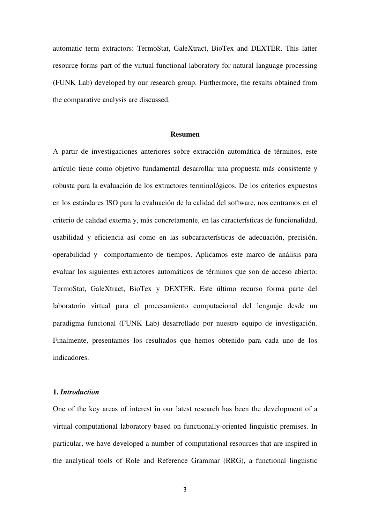automatic term extractors: TermoStat, GaleXtract, BioTex and DEXTER. This latter resource forms part of the virtual functional laboratory for natural language processing (FUNK Lab) developed by our research group. Furthermore, the results obtained from the comparative analysis are discussed.

#### **Resumen**

A partir de investigaciones anteriores sobre extracción automática de términos, este artículo tiene como objetivo fundamental desarrollar una propuesta más consistente y robusta para la evaluación de los extractores terminológicos. De los criterios expuestos en los estándares ISO para la evaluación de la calidad del software, nos centramos en el criterio de calidad externa y, más concretamente, en las características de funcionalidad, usabilidad y eficiencia así como en las subcaracterísticas de adecuación, precisión, operabilidad y comportamiento de tiempos. Aplicamos este marco de análisis para evaluar los siguientes extractores automáticos de términos que son de acceso abierto: TermoStat, GaleXtract, BioTex y DEXTER. Este último recurso forma parte del laboratorio virtual para el procesamiento computacional del lenguaje desde un paradigma funcional (FUNK Lab) desarrollado por nuestro equipo de investigación. Finalmente, presentamos los resultados que hemos obtenido para cada uno de los indicadores.

# **1.** *Introduction*

One of the key areas of interest in our latest research has been the development of a virtual computational laboratory based on functionally-oriented linguistic premises. In particular, we have developed a number of computational resources that are inspired in the analytical tools of Role and Reference Grammar (RRG), a functional linguistic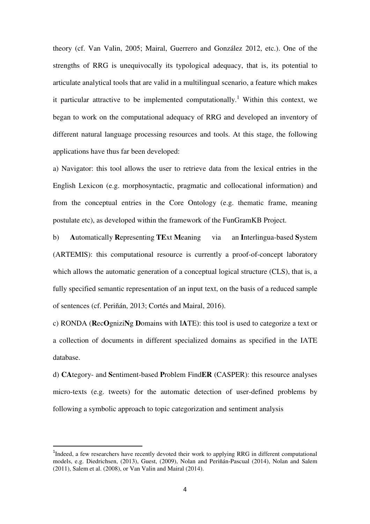theory (cf. Van Valin, 2005; Mairal, Guerrero and González 2012, etc.). One of the strengths of RRG is unequivocally its typological adequacy, that is, its potential to articulate analytical tools that are valid in a multilingual scenario, a feature which makes it particular attractive to be implemented computationally.<sup>1</sup> Within this context, we began to work on the computational adequacy of RRG and developed an inventory of different natural language processing resources and tools. At this stage, the following applications have thus far been developed:

a) Navigator: this tool allows the user to retrieve data from the lexical entries in the English Lexicon (e.g. morphosyntactic, pragmatic and collocational information) and from the conceptual entries in the Core Ontology (e.g. thematic frame, meaning postulate etc), as developed within the framework of the FunGramKB Project.

b) **A**utomatically **R**epresenting **TE**xt **M**eaning via an **I**nterlingua-based **S**ystem (ARTEMIS): this computational resource is currently a proof-of-concept laboratory which allows the automatic generation of a conceptual logical structure (CLS), that is, a fully specified semantic representation of an input text, on the basis of a reduced sample of sentences (cf. Periñán, 2013; Cortés and Mairal, 2016).

c) RONDA (**R**ec**O**gnizi**N**g **D**omains with I**A**TE): this tool is used to categorize a text or a collection of documents in different specialized domains as specified in the IATE database.

d) **CA**tegory- and **S**entiment-based **P**roblem Find**ER** (CASPER): this resource analyses micro-texts (e.g. tweets) for the automatic detection of user-defined problems by following a symbolic approach to topic categorization and sentiment analysis

 $\overline{a}$ 

<sup>&</sup>lt;sup>1</sup>Indeed, a few researchers have recently devoted their work to applying RRG in different computational models, e.g. Diedrichsen, (2013), Guest, (2009), Nolan and Periñán-Pascual (2014), Nolan and Salem (2011), Salem et al. (2008), or Van Valin and Mairal (2014).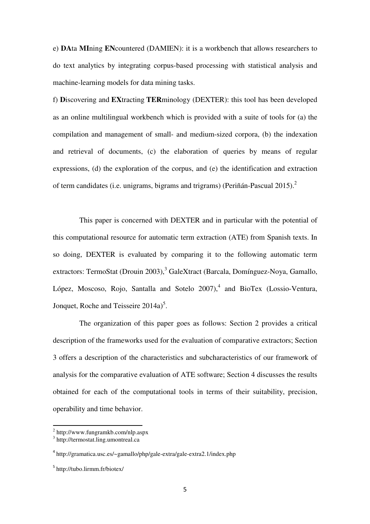e) **DA**ta **MI**ning **EN**countered (DAMIEN): it is a workbench that allows researchers to do text analytics by integrating corpus-based processing with statistical analysis and machine-learning models for data mining tasks.

f) **D**iscovering and **EX**tracting **TER**minology (DEXTER): this tool has been developed as an online multilingual workbench which is provided with a suite of tools for (a) the compilation and management of small- and medium-sized corpora, (b) the indexation and retrieval of documents, (c) the elaboration of queries by means of regular expressions, (d) the exploration of the corpus, and (e) the identification and extraction of term candidates (i.e. unigrams, bigrams and trigrams) (Periñán-Pascual 2015).<sup>2</sup>

This paper is concerned with DEXTER and in particular with the potential of this computational resource for automatic term extraction (ATE) from Spanish texts. In so doing, DEXTER is evaluated by comparing it to the following automatic term extractors: TermoStat (Drouin 2003),<sup>3</sup> GaleXtract (Barcala, Domínguez-Noya, Gamallo, López, Moscoso, Rojo, Santalla and Sotelo  $2007$ ,<sup>4</sup> and BioTex (Lossio-Ventura, Jonquet, Roche and Teisseire  $2014a$ <sup>5</sup>.

The organization of this paper goes as follows: Section 2 provides a critical description of the frameworks used for the evaluation of comparative extractors; Section 3 offers a description of the characteristics and subcharacteristics of our framework of analysis for the comparative evaluation of ATE software; Section 4 discusses the results obtained for each of the computational tools in terms of their suitability, precision, operability and time behavior.

<sup>2</sup> http://www.fungramkb.com/nlp.aspx

<sup>3</sup> http://termostat.ling.umontreal.ca

<sup>4</sup> http://gramatica.usc.es/~gamallo/php/gale-extra/gale-extra2.1/index.php

<sup>5</sup> http://tubo.lirmm.fr/biotex/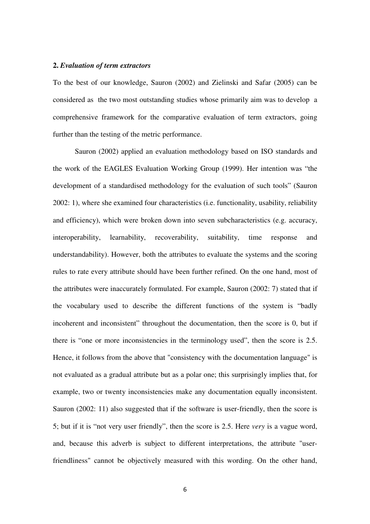# **2.** *Evaluation of term extractors*

To the best of our knowledge, Sauron (2002) and Zielinski and Safar (2005) can be considered as the two most outstanding studies whose primarily aim was to develop a comprehensive framework for the comparative evaluation of term extractors, going further than the testing of the metric performance.

Sauron (2002) applied an evaluation methodology based on ISO standards and the work of the EAGLES Evaluation Working Group (1999). Her intention was "the development of a standardised methodology for the evaluation of such tools" (Sauron 2002: 1), where she examined four characteristics (i.e. functionality, usability, reliability and efficiency), which were broken down into seven subcharacteristics (e.g. accuracy, interoperability, learnability, recoverability, suitability, time response and understandability). However, both the attributes to evaluate the systems and the scoring rules to rate every attribute should have been further refined. On the one hand, most of the attributes were inaccurately formulated. For example, Sauron (2002: 7) stated that if the vocabulary used to describe the different functions of the system is "badly incoherent and inconsistent" throughout the documentation, then the score is 0, but if there is "one or more inconsistencies in the terminology used", then the score is 2.5. Hence, it follows from the above that "consistency with the documentation language" is not evaluated as a gradual attribute but as a polar one; this surprisingly implies that, for example, two or twenty inconsistencies make any documentation equally inconsistent. Sauron (2002: 11) also suggested that if the software is user-friendly, then the score is 5; but if it is "not very user friendly", then the score is 2.5. Here *very* is a vague word, and, because this adverb is subject to different interpretations, the attribute "userfriendliness" cannot be objectively measured with this wording. On the other hand,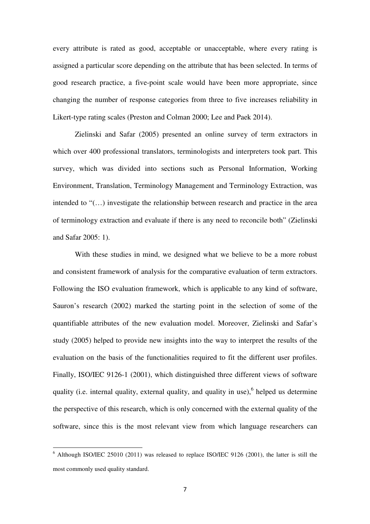every attribute is rated as good, acceptable or unacceptable, where every rating is assigned a particular score depending on the attribute that has been selected. In terms of good research practice, a five-point scale would have been more appropriate, since changing the number of response categories from three to five increases reliability in Likert-type rating scales (Preston and Colman 2000; Lee and Paek 2014).

 Zielinski and Safar (2005) presented an online survey of term extractors in which over 400 professional translators, terminologists and interpreters took part. This survey, which was divided into sections such as Personal Information, Working Environment, Translation, Terminology Management and Terminology Extraction, was intended to "(…) investigate the relationship between research and practice in the area of terminology extraction and evaluate if there is any need to reconcile both" (Zielinski and Safar 2005: 1).

With these studies in mind, we designed what we believe to be a more robust and consistent framework of analysis for the comparative evaluation of term extractors. Following the ISO evaluation framework, which is applicable to any kind of software, Sauron's research (2002) marked the starting point in the selection of some of the quantifiable attributes of the new evaluation model. Moreover, Zielinski and Safar's study (2005) helped to provide new insights into the way to interpret the results of the evaluation on the basis of the functionalities required to fit the different user profiles. Finally, ISO/IEC 9126-1 (2001), which distinguished three different views of software quality (i.e. internal quality, external quality, and quality in use),  $6$  helped us determine the perspective of this research, which is only concerned with the external quality of the software, since this is the most relevant view from which language researchers can

l

 $6$  Although ISO/IEC 25010 (2011) was released to replace ISO/IEC 9126 (2001), the latter is still the most commonly used quality standard.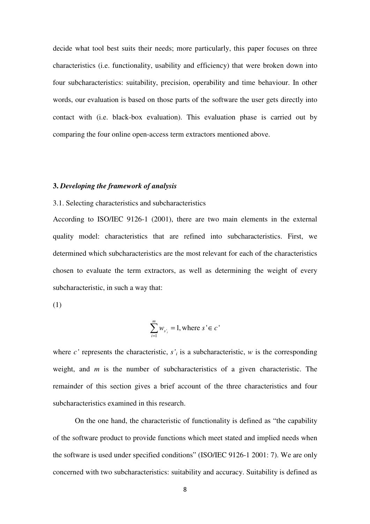decide what tool best suits their needs; more particularly, this paper focuses on three characteristics (i.e. functionality, usability and efficiency) that were broken down into four subcharacteristics: suitability, precision, operability and time behaviour. In other words, our evaluation is based on those parts of the software the user gets directly into contact with (i.e. black-box evaluation). This evaluation phase is carried out by comparing the four online open-access term extractors mentioned above.

#### **3.** *Developing the framework of analysis*

# 3.1. Selecting characteristics and subcharacteristics

According to ISO/IEC 9126-1 (2001), there are two main elements in the external quality model: characteristics that are refined into subcharacteristics. First, we determined which subcharacteristics are the most relevant for each of the characteristics chosen to evaluate the term extractors, as well as determining the weight of every subcharacteristic, in such a way that:

(1)

$$
\sum_{i=1}^{m} w_{s_i} = 1, \text{ where } s \in c
$$

where  $c'$  represents the characteristic,  $s'$  is a subcharacteristic,  $w$  is the corresponding weight, and *m* is the number of subcharacteristics of a given characteristic. The remainder of this section gives a brief account of the three characteristics and four subcharacteristics examined in this research.

On the one hand, the characteristic of functionality is defined as "the capability of the software product to provide functions which meet stated and implied needs when the software is used under specified conditions" (ISO/IEC 9126-1 2001: 7). We are only concerned with two subcharacteristics: suitability and accuracy. Suitability is defined as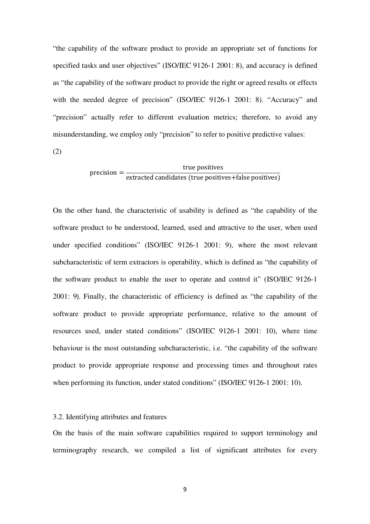"the capability of the software product to provide an appropriate set of functions for specified tasks and user objectives" (ISO/IEC 9126-1 2001: 8), and accuracy is defined as "the capability of the software product to provide the right or agreed results or effects with the needed degree of precision" (ISO/IEC 9126-1 2001: 8). "Accuracy" and "precision" actually refer to different evaluation metrics; therefore, to avoid any misunderstanding, we employ only "precision" to refer to positive predictive values:

(2)

# precision =  $\frac{1}{\text{extracted candidates (true positives+false positives)}}$ true positives

On the other hand, the characteristic of usability is defined as "the capability of the software product to be understood, learned, used and attractive to the user, when used under specified conditions" (ISO/IEC 9126-1 2001: 9), where the most relevant subcharacteristic of term extractors is operability, which is defined as "the capability of the software product to enable the user to operate and control it" (ISO/IEC 9126-1 2001: 9). Finally, the characteristic of efficiency is defined as "the capability of the software product to provide appropriate performance, relative to the amount of resources used, under stated conditions" (ISO/IEC 9126-1 2001: 10), where time behaviour is the most outstanding subcharacteristic, i.e. "the capability of the software product to provide appropriate response and processing times and throughout rates when performing its function, under stated conditions" (ISO/IEC 9126-1 2001: 10).

#### 3.2. Identifying attributes and features

On the basis of the main software capabilities required to support terminology and terminography research, we compiled a list of significant attributes for every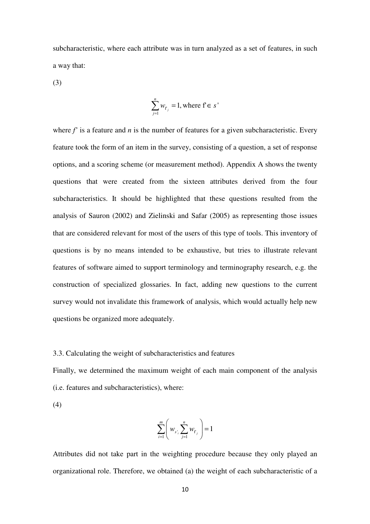subcharacteristic, where each attribute was in turn analyzed as a set of features, in such a way that:

(3)

$$
\sum_{j=1}^{n} w_{f_j} = 1, \text{ where } f \in s'
$$

where  $f'$  is a feature and  $n$  is the number of features for a given subcharacteristic. Every feature took the form of an item in the survey, consisting of a question, a set of response options, and a scoring scheme (or measurement method). Appendix A shows the twenty questions that were created from the sixteen attributes derived from the four subcharacteristics. It should be highlighted that these questions resulted from the analysis of Sauron (2002) and Zielinski and Safar (2005) as representing those issues that are considered relevant for most of the users of this type of tools. This inventory of questions is by no means intended to be exhaustive, but tries to illustrate relevant features of software aimed to support terminology and terminography research, e.g. the construction of specialized glossaries. In fact, adding new questions to the current survey would not invalidate this framework of analysis, which would actually help new questions be organized more adequately.

#### 3.3. Calculating the weight of subcharacteristics and features

Finally, we determined the maximum weight of each main component of the analysis (i.e. features and subcharacteristics), where:

(4)

$$
\sum_{i=1}^{m} \left( w_{s_i} \sum_{j=1}^{n} w_{r_j} \right) = 1
$$

Attributes did not take part in the weighting procedure because they only played an organizational role. Therefore, we obtained (a) the weight of each subcharacteristic of a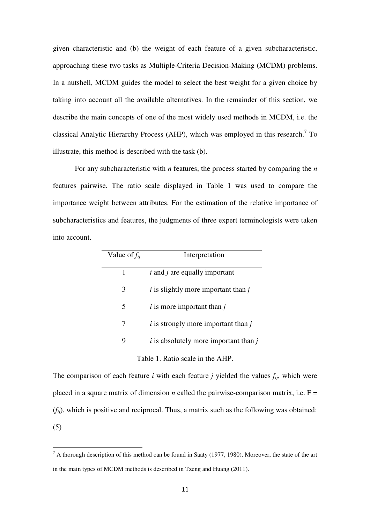given characteristic and (b) the weight of each feature of a given subcharacteristic, approaching these two tasks as Multiple-Criteria Decision-Making (MCDM) problems. In a nutshell, MCDM guides the model to select the best weight for a given choice by taking into account all the available alternatives. In the remainder of this section, we describe the main concepts of one of the most widely used methods in MCDM, i.e. the classical Analytic Hierarchy Process (AHP), which was employed in this research.<sup>7</sup> To illustrate, this method is described with the task (b).

 For any subcharacteristic with *n* features, the process started by comparing the *n* features pairwise. The ratio scale displayed in Table 1 was used to compare the importance weight between attributes. For the estimation of the relative importance of subcharacteristics and features, the judgments of three expert terminologists were taken into account.

| Value of $f_{ii}$ | Interpretation                                      |
|-------------------|-----------------------------------------------------|
| 1                 | $i$ and $j$ are equally important                   |
| 3                 | $i$ is slightly more important than $i$             |
| 5                 | $i$ is more important than $j$                      |
| 7                 | $i$ is strongly more important than $j$             |
| 9                 | <i>i</i> is absolutely more important than <i>j</i> |
|                   | Table 1. Ratio scale in the AHP.                    |

The comparison of each feature *i* with each feature *j* yielded the values  $f_{ij}$ , which were placed in a square matrix of dimension *n* called the pairwise-comparison matrix, i.e.  $F =$ (*fij*), which is positive and reciprocal. Thus, a matrix such as the following was obtained: (5)

l

 $<sup>7</sup>$  A thorough description of this method can be found in Saaty (1977, 1980). Moreover, the state of the art</sup> in the main types of MCDM methods is described in Tzeng and Huang (2011).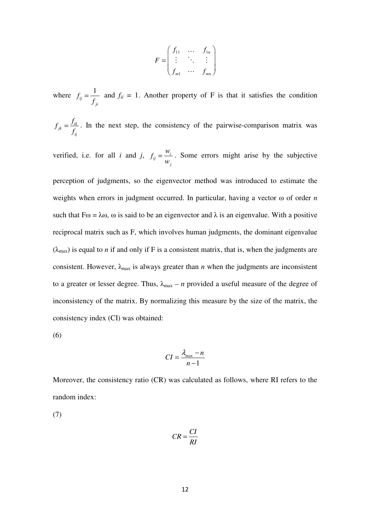$$
F = \begin{pmatrix} f_{11} & \dots & f_{1n} \\ \vdots & \ddots & \vdots \\ f_{m1} & \dots & f_{mn} \end{pmatrix}
$$

where  $f_{ij} = \frac{1}{f}$ *ji f f*  $=\frac{1}{f}$  and  $f_{ii} = 1$ . Another property of F is that it satisfies the condition

 $i_k = \frac{J_{ik}}{f}$ *ij*  $f_{ik} = \frac{f}{i}$ *f*  $=\frac{J_{ik}}{r}$ . In the next step, the consistency of the pairwise-comparison matrix was

verified, i.e. for all *i* and *j*,  $f_{ij} = \frac{W_i}{W_i}$ *j*  $f_{ii} = \frac{w_i}{w_i}$ *w*  $=\frac{w_i}{q}$ . Some errors might arise by the subjective

perception of judgments, so the eigenvector method was introduced to estimate the weights when errors in judgment occurred. In particular, having a vector ω of order *n* such that  $F\omega = \lambda \omega$ ,  $\omega$  is said to be an eigenvector and  $\lambda$  is an eigenvalue. With a positive reciprocal matrix such as F, which involves human judgments, the dominant eigenvalue  $(\lambda_{\text{max}})$  is equal to *n* if and only if F is a consistent matrix, that is, when the judgments are consistent. However,  $\lambda_{\text{max}}$  is always greater than *n* when the judgments are inconsistent to a greater or lesser degree. Thus,  $\lambda_{\text{max}} - n$  provided a useful measure of the degree of inconsistency of the matrix. By normalizing this measure by the size of the matrix, the consistency index (CI) was obtained:

(6)

$$
CI = \frac{\lambda_{\text{max}} - n}{n - 1}
$$

Moreover, the consistency ratio (CR) was calculated as follows, where RI refers to the random index:

(7)

$$
CR = \frac{CI}{RI}
$$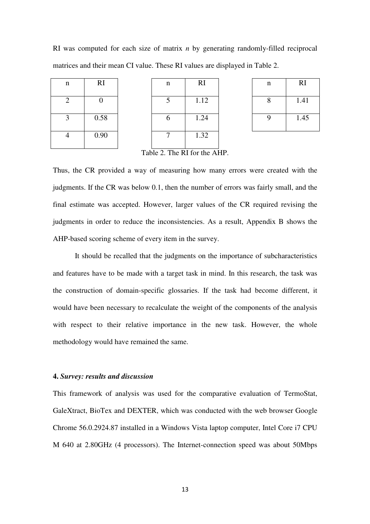RI was computed for each size of matrix *n* by generating randomly-filled reciprocal matrices and their mean CI value. These RI values are displayed in Table 2.

| n              | <b>RI</b>      |
|----------------|----------------|
| $\overline{2}$ | $\overline{0}$ |
| 3              | 0.58           |
|                | 0.90           |

| n              | RI   | n | RI   | n | R <sub>I</sub> |
|----------------|------|---|------|---|----------------|
| $\overline{2}$ |      |   | 1.12 |   | 1.41           |
| 3              | 0.58 |   | 1.24 |   | 1.45           |
| 4              | 0.90 |   | 1.32 |   |                |

| n | <b>RI</b> |
|---|-----------|
| 8 | 1.41      |
| 9 | 1.45      |

Table 2. The RI for the AHP.

Thus, the CR provided a way of measuring how many errors were created with the judgments. If the CR was below 0.1, then the number of errors was fairly small, and the final estimate was accepted. However, larger values of the CR required revising the judgments in order to reduce the inconsistencies. As a result, Appendix B shows the AHP-based scoring scheme of every item in the survey.

It should be recalled that the judgments on the importance of subcharacteristics and features have to be made with a target task in mind. In this research, the task was the construction of domain-specific glossaries. If the task had become different, it would have been necessary to recalculate the weight of the components of the analysis with respect to their relative importance in the new task. However, the whole methodology would have remained the same.

### **4.** *Survey: results and discussion*

This framework of analysis was used for the comparative evaluation of TermoStat, GaleXtract, BioTex and DEXTER, which was conducted with the web browser Google Chrome 56.0.2924.87 installed in a Windows Vista laptop computer, Intel Core i7 CPU M 640 at 2.80GHz (4 processors). The Internet-connection speed was about 50Mbps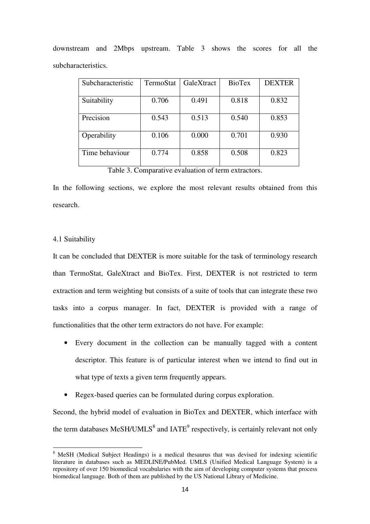| Subcharacteristic | TermoStat | GaleXtract | <b>BioTex</b> | <b>DEXTER</b> |
|-------------------|-----------|------------|---------------|---------------|
| Suitability       | 0.706     | 0.491      | 0.818         | 0.832         |
| Precision         | 0.543     | 0.513      | 0.540         | 0.853         |
| Operability       | 0.106     | 0.000      | 0.701         | 0.930         |
|                   |           |            |               |               |
| Time behaviour    | 0.774     | 0.858      | 0.508         | 0.823         |

downstream and 2Mbps upstream. Table 3 shows the scores for all the subcharacteristics.

Table 3. Comparative evaluation of term extractors.

In the following sections, we explore the most relevant results obtained from this research.

#### 4.1 Suitability

l

It can be concluded that DEXTER is more suitable for the task of terminology research than TermoStat, GaleXtract and BioTex. First, DEXTER is not restricted to term extraction and term weighting but consists of a suite of tools that can integrate these two tasks into a corpus manager. In fact, DEXTER is provided with a range of functionalities that the other term extractors do not have. For example:

- Every document in the collection can be manually tagged with a content descriptor. This feature is of particular interest when we intend to find out in what type of texts a given term frequently appears.
- Regex-based queries can be formulated during corpus exploration.

Second, the hybrid model of evaluation in BioTex and DEXTER, which interface with the term databases MeSH/UMLS<sup>8</sup> and IATE<sup>9</sup> respectively, is certainly relevant not only

<sup>&</sup>lt;sup>8</sup> MeSH (Medical Subject Headings) is a medical thesaurus that was devised for indexing scientific literature in databases such as MEDLINE/PubMed. UMLS (Unified Medical Language System) is a repository of over 150 biomedical vocabularies with the aim of developing computer systems that process biomedical language. Both of them are published by the US National Library of Medicine.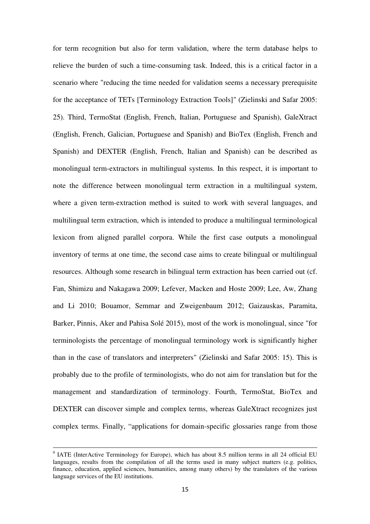for term recognition but also for term validation, where the term database helps to relieve the burden of such a time-consuming task. Indeed, this is a critical factor in a scenario where "reducing the time needed for validation seems a necessary prerequisite for the acceptance of TETs [Terminology Extraction Tools]" (Zielinski and Safar 2005: 25). Third, TermoStat (English, French, Italian, Portuguese and Spanish), GaleXtract (English, French, Galician, Portuguese and Spanish) and BioTex (English, French and Spanish) and DEXTER (English, French, Italian and Spanish) can be described as monolingual term-extractors in multilingual systems. In this respect, it is important to note the difference between monolingual term extraction in a multilingual system, where a given term-extraction method is suited to work with several languages, and multilingual term extraction, which is intended to produce a multilingual terminological lexicon from aligned parallel corpora. While the first case outputs a monolingual inventory of terms at one time, the second case aims to create bilingual or multilingual resources. Although some research in bilingual term extraction has been carried out (cf. Fan, Shimizu and Nakagawa 2009; Lefever, Macken and Hoste 2009; Lee, Aw, Zhang and Li 2010; Bouamor, Semmar and Zweigenbaum 2012; Gaizauskas, Paramita, Barker, Pinnis, Aker and Pahisa Solé 2015), most of the work is monolingual, since "for terminologists the percentage of monolingual terminology work is significantly higher than in the case of translators and interpreters" (Zielinski and Safar 2005: 15). This is probably due to the profile of terminologists, who do not aim for translation but for the management and standardization of terminology. Fourth, TermoStat, BioTex and DEXTER can discover simple and complex terms, whereas GaleXtract recognizes just complex terms. Finally, "applications for domain-specific glossaries range from those

<u>.</u>

<sup>&</sup>lt;sup>9</sup> IATE (InterActive Terminology for Europe), which has about 8.5 million terms in all 24 official EU languages, results from the compilation of all the terms used in many subject matters (e.g. politics, finance, education, applied sciences, humanities, among many others) by the translators of the various language services of the EU institutions.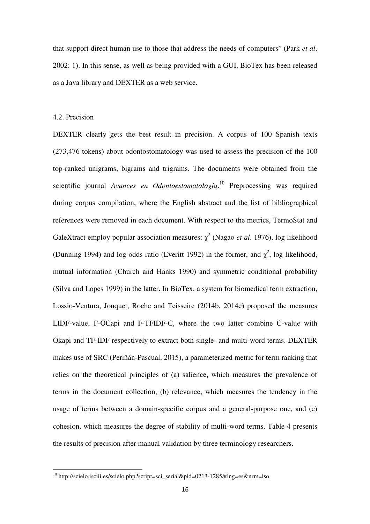that support direct human use to those that address the needs of computers" (Park *et al*. 2002: 1). In this sense, as well as being provided with a GUI, BioTex has been released as a Java library and DEXTER as a web service.

#### 4.2. Precision

l

DEXTER clearly gets the best result in precision. A corpus of 100 Spanish texts (273,476 tokens) about odontostomatology was used to assess the precision of the 100 top-ranked unigrams, bigrams and trigrams. The documents were obtained from the scientific journal *Avances en Odontoestomatología*. <sup>10</sup> Preprocessing was required during corpus compilation, where the English abstract and the list of bibliographical references were removed in each document. With respect to the metrics, TermoStat and GaleXtract employ popular association measures: χ 2 (Nagao *et al*. 1976), log likelihood (Dunning 1994) and log odds ratio (Everitt 1992) in the former, and  $\chi^2$ , log likelihood, mutual information (Church and Hanks 1990) and symmetric conditional probability (Silva and Lopes 1999) in the latter. In BioTex, a system for biomedical term extraction, Lossio-Ventura, Jonquet, Roche and Teisseire (2014b, 2014c) proposed the measures LIDF-value, F-OCapi and F-TFIDF-C, where the two latter combine C-value with Okapi and TF-IDF respectively to extract both single- and multi-word terms. DEXTER makes use of SRC (Periñán-Pascual, 2015), a parameterized metric for term ranking that relies on the theoretical principles of (a) salience, which measures the prevalence of terms in the document collection, (b) relevance, which measures the tendency in the usage of terms between a domain-specific corpus and a general-purpose one, and (c) cohesion, which measures the degree of stability of multi-word terms. Table 4 presents the results of precision after manual validation by three terminology researchers.

<sup>&</sup>lt;sup>10</sup> http://scielo.isciii.es/scielo.php?script=sci\_serial&pid=0213-1285&lng=es&nrm=iso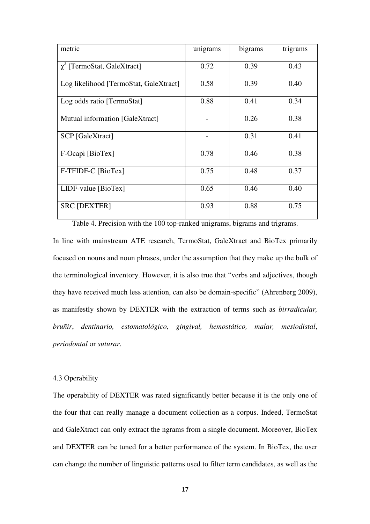| metric                                 | unigrams | bigrams | trigrams |
|----------------------------------------|----------|---------|----------|
| $\chi^2$ [TermoStat, GaleXtract]       | 0.72     | 0.39    | 0.43     |
| Log likelihood [TermoStat, GaleXtract] | 0.58     | 0.39    | 0.40     |
| Log odds ratio [TermoStat]             | 0.88     | 0.41    | 0.34     |
| Mutual information [GaleXtract]        |          | 0.26    | 0.38     |
| <b>SCP</b> [GaleXtract]                |          | 0.31    | 0.41     |
| F-Ocapi [BioTex]                       | 0.78     | 0.46    | 0.38     |
| F-TFIDF-C [BioTex]                     | 0.75     | 0.48    | 0.37     |
| $LIDF-value [BioText]$                 | 0.65     | 0.46    | 0.40     |
| <b>SRC [DEXTER]</b>                    | 0.93     | 0.88    | 0.75     |

Table 4. Precision with the 100 top-ranked unigrams, bigrams and trigrams. In line with mainstream ATE research, TermoStat, GaleXtract and BioTex primarily focused on nouns and noun phrases, under the assumption that they make up the bulk of the terminological inventory. However, it is also true that "verbs and adjectives, though they have received much less attention, can also be domain-specific" (Ahrenberg 2009), as manifestly shown by DEXTER with the extraction of terms such as *birradicular, bruñir*, *dentinario, estomatológico, gingival, hemostático, malar, mesiodistal*, *periodontal* or *suturar*.

# 4.3 Operability

The operability of DEXTER was rated significantly better because it is the only one of the four that can really manage a document collection as a corpus. Indeed, TermoStat and GaleXtract can only extract the ngrams from a single document. Moreover, BioTex and DEXTER can be tuned for a better performance of the system. In BioTex, the user can change the number of linguistic patterns used to filter term candidates, as well as the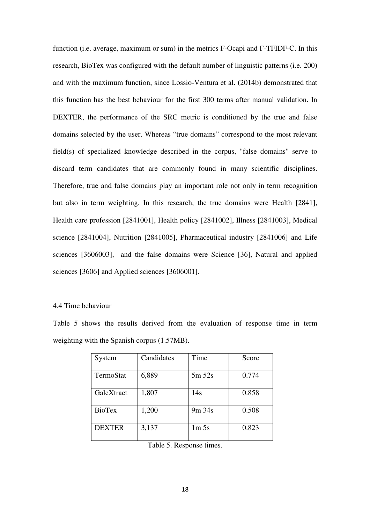function (i.e. average, maximum or sum) in the metrics F-Ocapi and F-TFIDF-C. In this research, BioTex was configured with the default number of linguistic patterns (i.e. 200) and with the maximum function, since Lossio-Ventura et al. (2014b) demonstrated that this function has the best behaviour for the first 300 terms after manual validation. In DEXTER, the performance of the SRC metric is conditioned by the true and false domains selected by the user. Whereas "true domains" correspond to the most relevant field(s) of specialized knowledge described in the corpus, "false domains" serve to discard term candidates that are commonly found in many scientific disciplines. Therefore, true and false domains play an important role not only in term recognition but also in term weighting. In this research, the true domains were Health [2841], Health care profession [2841001], Health policy [2841002], Illness [2841003], Medical science [2841004], Nutrition [2841005], Pharmaceutical industry [2841006] and Life sciences [3606003], and the false domains were Science [36], Natural and applied sciences [3606] and Applied sciences [3606001].

#### 4.4 Time behaviour

Table 5 shows the results derived from the evaluation of response time in term weighting with the Spanish corpus (1.57MB).

| System        | Candidates | Time             | Score |
|---------------|------------|------------------|-------|
| TermoStat     | 6,889      | 5m 52s           | 0.774 |
| GaleXtract    | 1,807      | 14s              | 0.858 |
| BioTex        | 1,200      | $9m\,34s$        | 0.508 |
| <b>DEXTER</b> | 3,137      | 1m <sub>5s</sub> | 0.823 |

Table 5. Response times.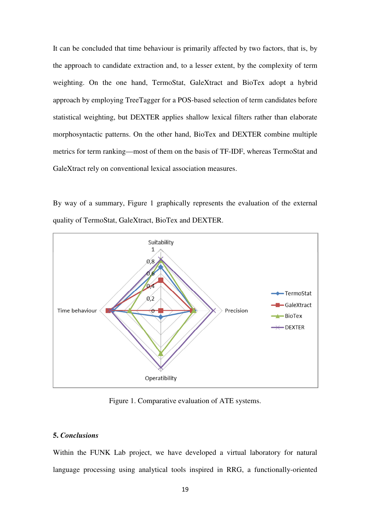It can be concluded that time behaviour is primarily affected by two factors, that is, by the approach to candidate extraction and, to a lesser extent, by the complexity of term weighting. On the one hand, TermoStat, GaleXtract and BioTex adopt a hybrid approach by employing TreeTagger for a POS-based selection of term candidates before statistical weighting, but DEXTER applies shallow lexical filters rather than elaborate morphosyntactic patterns. On the other hand, BioTex and DEXTER combine multiple metrics for term ranking—most of them on the basis of TF-IDF, whereas TermoStat and GaleXtract rely on conventional lexical association measures.

By way of a summary, Figure 1 graphically represents the evaluation of the external quality of TermoStat, GaleXtract, BioTex and DEXTER.



Figure 1. Comparative evaluation of ATE systems.

# **5.** *Conclusions*

Within the FUNK Lab project, we have developed a virtual laboratory for natural language processing using analytical tools inspired in RRG, a functionally-oriented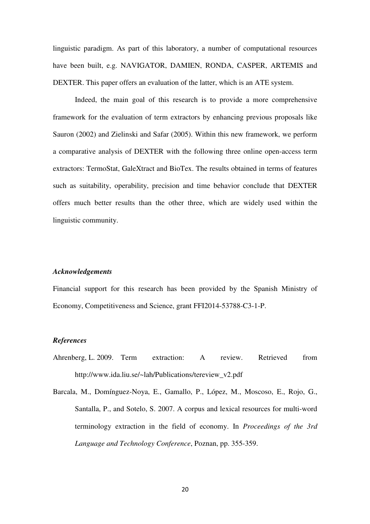linguistic paradigm. As part of this laboratory, a number of computational resources have been built, e.g. NAVIGATOR, DAMIEN, RONDA, CASPER, ARTEMIS and DEXTER. This paper offers an evaluation of the latter, which is an ATE system.

Indeed, the main goal of this research is to provide a more comprehensive framework for the evaluation of term extractors by enhancing previous proposals like Sauron (2002) and Zielinski and Safar (2005). Within this new framework, we perform a comparative analysis of DEXTER with the following three online open-access term extractors: TermoStat, GaleXtract and BioTex. The results obtained in terms of features such as suitability, operability, precision and time behavior conclude that DEXTER offers much better results than the other three, which are widely used within the linguistic community.

#### *Acknowledgements*

Financial support for this research has been provided by the Spanish Ministry of Economy, Competitiveness and Science, grant FFI2014-53788-C3-1-P.

# *References*

- Ahrenberg, L. 2009. Term extraction: A review. Retrieved from http://www.ida.liu.se/~lah/Publications/tereview\_v2.pdf
- Barcala, M., Domínguez-Noya, E., Gamallo, P., López, M., Moscoso, E., Rojo, G., Santalla, P., and Sotelo, S. 2007. A corpus and lexical resources for multi-word terminology extraction in the field of economy. In *Proceedings of the 3rd Language and Technology Conference*, Poznan, pp. 355-359.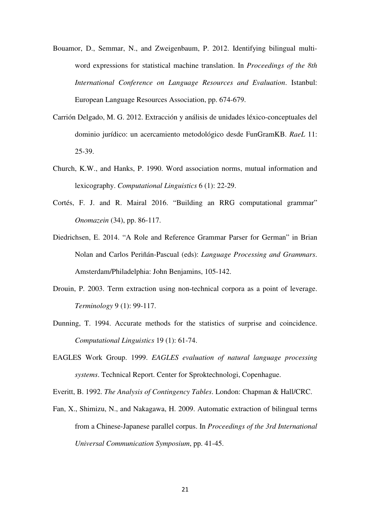- Bouamor, D., Semmar, N., and Zweigenbaum, P. 2012. Identifying bilingual multiword expressions for statistical machine translation. In *Proceedings of the 8th International Conference on Language Resources and Evaluation*. Istanbul: European Language Resources Association, pp. 674-679.
- Carrión Delgado, M. G. 2012. Extracción y análisis de unidades léxico-conceptuales del dominio jurídico: un acercamiento metodológico desde FunGramKB. *RaeL* 11: 25-39.
- Church, K.W., and Hanks, P. 1990. Word association norms, mutual information and lexicography. *Computational Linguistics* 6 (1): 22-29.
- Cortés, F. J. and R. Mairal 2016. "Building an RRG computational grammar" *Onomazein* (34), pp. 86-117.
- Diedrichsen, E. 2014. "A Role and Reference Grammar Parser for German" in Brian Nolan and Carlos Periñán-Pascual (eds): *Language Processing and Grammars*. Amsterdam/Philadelphia: John Benjamins, 105-142.
- Drouin, P. 2003. Term extraction using non-technical corpora as a point of leverage. *Terminology* 9 (1): 99-117.
- Dunning, T. 1994. Accurate methods for the statistics of surprise and coincidence. *Computational Linguistics* 19 (1): 61-74.
- EAGLES Work Group. 1999. *EAGLES evaluation of natural language processing systems*. Technical Report. Center for Sproktechnologi, Copenhague.
- Everitt, B. 1992. *The Analysis of Contingency Tables*. London: Chapman & Hall/CRC.
- Fan, X., Shimizu, N., and Nakagawa, H. 2009. Automatic extraction of bilingual terms from a Chinese-Japanese parallel corpus. In *Proceedings of the 3rd International Universal Communication Symposium*, pp. 41-45.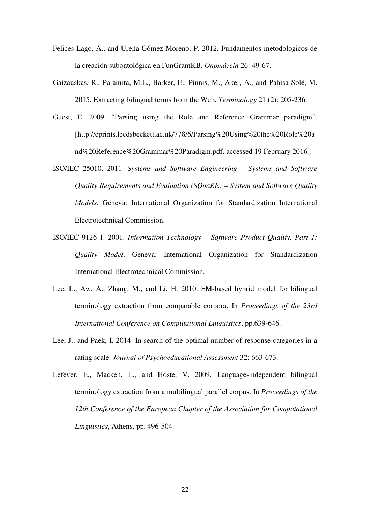- Felices Lago, A., and Ureña Gómez-Moreno, P. 2012. Fundamentos metodológicos de la creación subontológica en FunGramKB. *Onomázein* 26: 49-67.
- Gaizauskas, R., Paramita, M.L., Barker, E., Pinnis, M., Aker, A., and Pahisa Solé, M. 2015. Extracting bilingual terms from the Web. *Terminology* 21 (2): 205-236.
- Guest, E. 2009. "Parsing using the Role and Reference Grammar paradigm". [http://eprints.leedsbeckett.ac.uk/778/6/Parsing%20Using%20the%20Role%20a nd%20Reference%20Grammar%20Paradigm.pdf, accessed 19 February 2016].
- ISO/IEC 25010. 2011. *Systems and Software Engineering Systems and Software Quality Requirements and Evaluation (SQuaRE) – System and Software Quality Models*. Geneva: International Organization for Standardization International Electrotechnical Commission.
- ISO/IEC 9126-1. 2001. *Information Technology Software Product Quality. Part 1: Quality Model*. Geneva: International Organization for Standardization International Electrotechnical Commission.
- Lee, L., Aw, A., Zhang, M., and Li, H. 2010. EM-based hybrid model for bilingual terminology extraction from comparable corpora. In *Proceedings of the 23rd International Conference on Computational Linguistics*, pp.639-646.
- Lee, J., and Paek, I. 2014. In search of the optimal number of response categories in a rating scale. *Journal of Psychoeducational Assessment* 32: 663-673.
- Lefever, E., Macken, L., and Hoste, V. 2009. Language-independent bilingual terminology extraction from a multilingual parallel corpus. In *Proceedings of the 12th Conference of the European Chapter of the Association for Computational Linguistics*, Athens, pp. 496-504.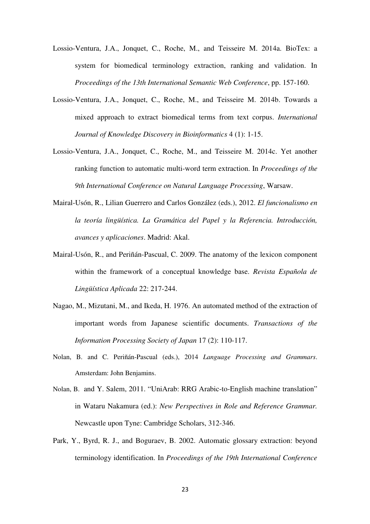- Lossio-Ventura, J.A., Jonquet, C., Roche, M., and Teisseire M. 2014a. BioTex: a system for biomedical terminology extraction, ranking and validation. In *Proceedings of the 13th International Semantic Web Conference*, pp. 157-160.
- Lossio-Ventura, J.A., Jonquet, C., Roche, M., and Teisseire M. 2014b. Towards a mixed approach to extract biomedical terms from text corpus. *International Journal of Knowledge Discovery in Bioinformatics* 4 (1): 1-15.
- Lossio-Ventura, J.A., Jonquet, C., Roche, M., and Teisseire M. 2014c. Yet another ranking function to automatic multi-word term extraction. In *Proceedings of the 9th International Conference on Natural Language Processing*, Warsaw.
- Mairal-Usón, R., Lilian Guerrero and Carlos González (eds.), 2012. *El funcionalismo en la teoría lingüística. La Gramática del Papel y la Referencia. Introducción, avances y aplicaciones*. Madrid: Akal.
- Mairal-Usón, R., and Periñán-Pascual, C. 2009. The anatomy of the lexicon component within the framework of a conceptual knowledge base. *Revista Española de Lingüística Aplicada* 22: 217-244.
- Nagao, M., Mizutani, M., and Ikeda, H. 1976. An automated method of the extraction of important words from Japanese scientific documents. *Transactions of the Information Processing Society of Japan* 17 (2): 110-117.
- Nolan, B. and C. Periñán-Pascual (eds.), 2014 *Language Processing and Grammars*. Amsterdam: John Benjamins.
- Nolan, B. and Y. Salem, 2011. "UniArab: RRG Arabic-to-English machine translation" in Wataru Nakamura (ed.): *New Perspectives in Role and Reference Grammar.*  Newcastle upon Tyne: Cambridge Scholars, 312-346.
- Park, Y., Byrd, R. J., and Boguraev, B. 2002. Automatic glossary extraction: beyond terminology identification. In *Proceedings of the 19th International Conference*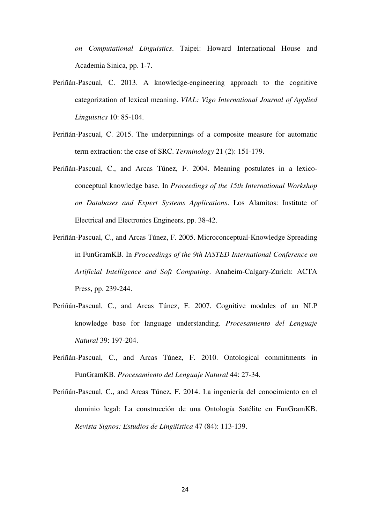*on Computational Linguistics*. Taipei: Howard International House and Academia Sinica, pp. 1-7.

- Periñán-Pascual, C. 2013. A knowledge-engineering approach to the cognitive categorization of lexical meaning. *VIAL: Vigo International Journal of Applied Linguistics* 10: 85-104.
- Periñán-Pascual, C. 2015. The underpinnings of a composite measure for automatic term extraction: the case of SRC. *Terminology* 21 (2): 151-179.
- Periñán-Pascual, C., and Arcas Túnez, F. 2004. Meaning postulates in a lexicoconceptual knowledge base. In *Proceedings of the 15th International Workshop on Databases and Expert Systems Applications*. Los Alamitos: Institute of Electrical and Electronics Engineers, pp. 38-42.
- Periñán-Pascual, C., and Arcas Túnez, F. 2005. Microconceptual-Knowledge Spreading in FunGramKB. In *Proceedings of the 9th IASTED International Conference on Artificial Intelligence and Soft Computing*. Anaheim-Calgary-Zurich: ACTA Press, pp. 239-244.
- Periñán-Pascual, C., and Arcas Túnez, F. 2007. Cognitive modules of an NLP knowledge base for language understanding. *Procesamiento del Lenguaje Natural* 39: 197-204.
- Periñán-Pascual, C., and Arcas Túnez, F. 2010. Ontological commitments in FunGramKB. *Procesamiento del Lenguaje Natural* 44: 27-34.
- Periñán-Pascual, C., and Arcas Túnez, F. 2014. La ingeniería del conocimiento en el dominio legal: La construcción de una Ontología Satélite en FunGramKB. *Revista Signos: Estudios de Lingüística* 47 (84): 113-139.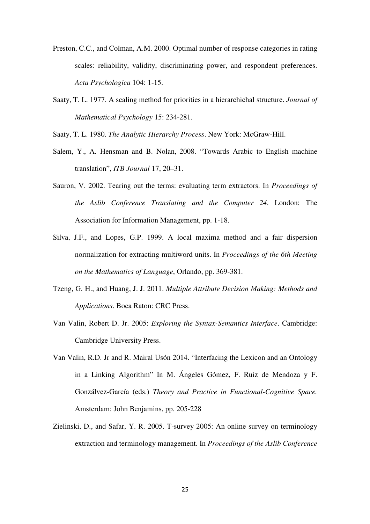- Preston, C.C., and Colman, A.M. 2000. Optimal number of response categories in rating scales: reliability, validity, discriminating power, and respondent preferences. *Acta Psychologica* 104: 1-15.
- Saaty, T. L. 1977. A scaling method for priorities in a hierarchichal structure. *Journal of Mathematical Psychology* 15: 234-281.
- Saaty, T. L. 1980. *The Analytic Hierarchy Process*. New York: McGraw-Hill.
- Salem, Y., A. Hensman and B. Nolan, 2008. "Towards Arabic to English machine translation", *ITB Journal* 17, 20–31.
- Sauron, V. 2002. Tearing out the terms: evaluating term extractors. In *Proceedings of the Aslib Conference Translating and the Computer 24*. London: The Association for Information Management, pp. 1-18.
- Silva, J.F., and Lopes, G.P. 1999. A local maxima method and a fair dispersion normalization for extracting multiword units. In *Proceedings of the 6th Meeting on the Mathematics of Language*, Orlando, pp. 369-381.
- Tzeng, G. H., and Huang, J. J. 2011. *Multiple Attribute Decision Making: Methods and Applications*. Boca Raton: CRC Press.
- Van Valin, Robert D. Jr. 2005: *Exploring the Syntax-Semantics Interface*. Cambridge: Cambridge University Press.
- Van Valin, R.D. Jr and R. Mairal Usón 2014. "Interfacing the Lexicon and an Ontology in a Linking Algorithm" In M. Ángeles Gómez, F. Ruiz de Mendoza y F. Gonzálvez-García (eds.) *Theory and Practice in Functional-Cognitive Space.*  Amsterdam: John Benjamins, pp. 205-228
- Zielinski, D., and Safar, Y. R. 2005. T-survey 2005: An online survey on terminology extraction and terminology management. In *Proceedings of the Aslib Conference*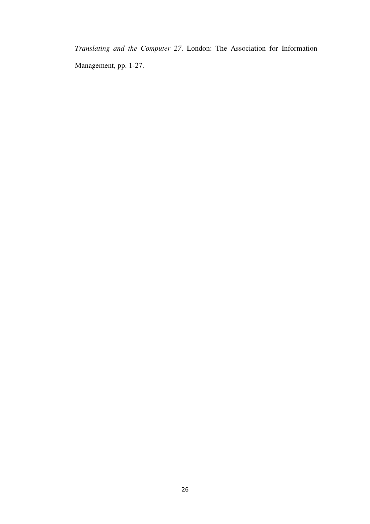*Translating and the Computer 27*. London: The Association for Information Management, pp. 1-27.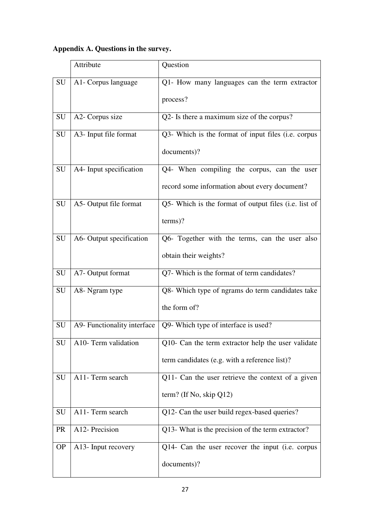# **Appendix A. Questions in the survey.**

|           | Attribute                   | Question                                              |
|-----------|-----------------------------|-------------------------------------------------------|
| SU        | A1- Corpus language         | Q1- How many languages can the term extractor         |
|           |                             | process?                                              |
| SU        | A2- Corpus size             | Q2- Is there a maximum size of the corpus?            |
| SU        | A3- Input file format       | Q3- Which is the format of input files (i.e. corpus   |
|           |                             | documents)?                                           |
| SU        | A4- Input specification     | Q4- When compiling the corpus, can the user           |
|           |                             | record some information about every document?         |
| SU        | A5- Output file format      | Q5- Which is the format of output files (i.e. list of |
|           |                             | terms)?                                               |
| SU        | A6- Output specification    | Q6- Together with the terms, can the user also        |
|           |                             | obtain their weights?                                 |
| SU        | A7- Output format           | Q7- Which is the format of term candidates?           |
| SU        | A8- Ngram type              | Q8- Which type of ngrams do term candidates take      |
|           |                             | the form of?                                          |
| SU        | A9- Functionality interface | Q9- Which type of interface is used?                  |
| SU        | A10- Term validation        | Q10- Can the term extractor help the user validate    |
|           |                             | term candidates (e.g. with a reference list)?         |
| SU        | A11- Term search            | Q11- Can the user retrieve the context of a given     |
|           |                             | term? (If No, skip $Q12$ )                            |
| SU        | A11- Term search            | Q12- Can the user build regex-based queries?          |
| <b>PR</b> | A12- Precision              | Q13- What is the precision of the term extractor?     |
| <b>OP</b> | A13- Input recovery         | Q14- Can the user recover the input (i.e. corpus      |
|           |                             | documents)?                                           |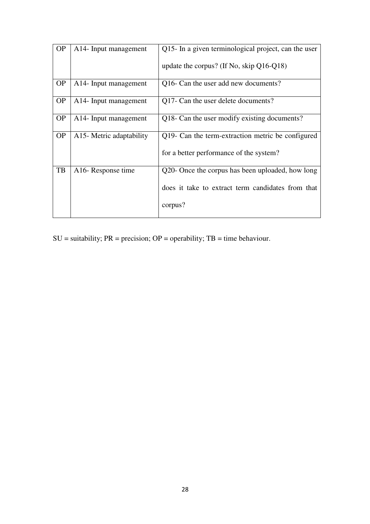| <b>OP</b> | A14- Input management              | Q15- In a given terminological project, can the user |
|-----------|------------------------------------|------------------------------------------------------|
|           |                                    | update the corpus? (If No, skip $Q16-Q18$ )          |
| <b>OP</b> | A <sub>14</sub> - Input management | Q16- Can the user add new documents?                 |
| <b>OP</b> | A <sub>14</sub> - Input management | Q17- Can the user delete documents?                  |
| <b>OP</b> | A <sub>14</sub> - Input management | Q18- Can the user modify existing documents?         |
| <b>OP</b> | A15- Metric adaptability           | Q19- Can the term-extraction metric be configured    |
|           |                                    | for a better performance of the system?              |
| TB        | A <sub>16</sub> -Response time     | Q20- Once the corpus has been uploaded, how long     |
|           |                                    | does it take to extract term candidates from that    |
|           |                                    | corpus?                                              |

 $SU =$  suitability;  $PR =$  precision;  $OP =$  operability;  $TB =$  time behaviour.